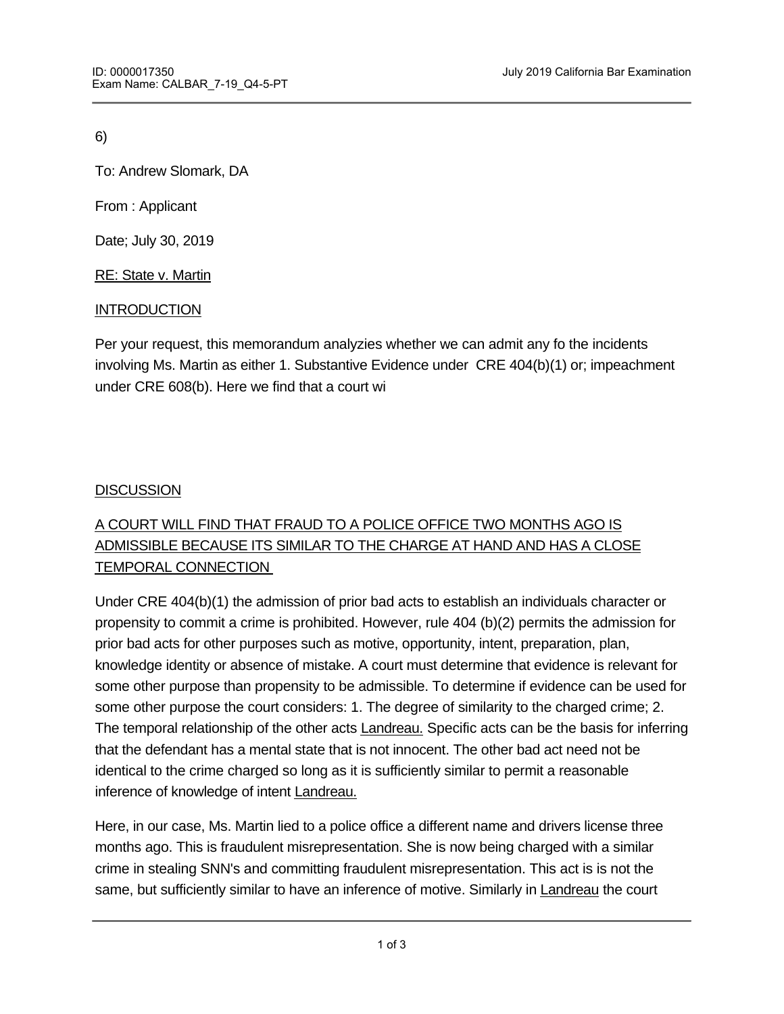6)

To: Andrew Slomark, DA

From : Applicant

Date; July 30, 2019

RE: State v. Martin

## **INTRODUCTION**

Per your request, this memorandum analyzies whether we can admit any fo the incidents involving Ms. Martin as either 1. Substantive Evidence under CRE 404(b)(1) or; impeachment under CRE 608(b). Here we find that a court wi

## **DISCUSSION**

## A COURT WILL FIND THAT FRAUD TO A POLICE OFFICE TWO MONTHS AGO IS ADMISSIBLE BECAUSE ITS SIMILAR TO THE CHARGE AT HAND AND HAS A CLOSE TEMPORAL CONNECTION

Under CRE 404(b)(1) the admission of prior bad acts to establish an individuals character or propensity to commit a crime is prohibited. However, rule 404 (b)(2) permits the admission for prior bad acts for other purposes such as motive, opportunity, intent, preparation, plan, knowledge identity or absence of mistake. A court must determine that evidence is relevant for some other purpose than propensity to be admissible. To determine if evidence can be used for some other purpose the court considers: 1. The degree of similarity to the charged crime; 2. The temporal relationship of the other acts Landreau. Specific acts can be the basis for inferring that the defendant has a mental state that is not innocent. The other bad act need not be identical to the crime charged so long as it is sufficiently similar to permit a reasonable inference of knowledge of intent Landreau.

Here, in our case, Ms. Martin lied to a police office a different name and drivers license three months ago. This is fraudulent misrepresentation. She is now being charged with a similar crime in stealing SNN's and committing fraudulent misrepresentation. This act is is not the same, but sufficiently similar to have an inference of motive. Similarly in Landreau the court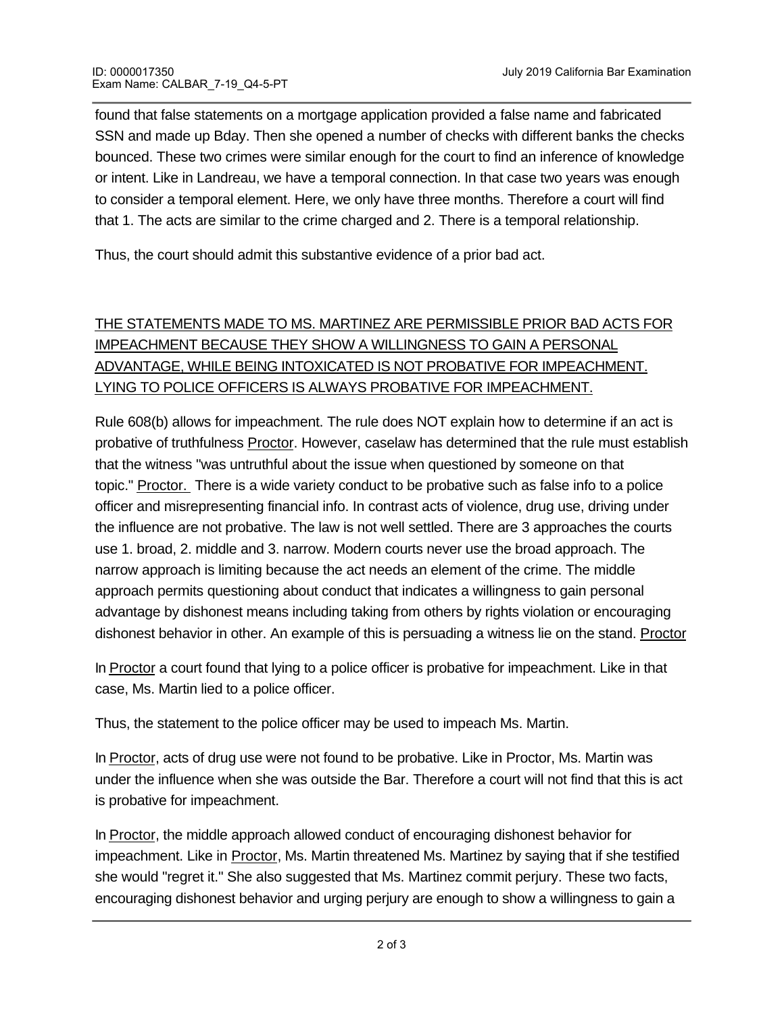found that false statements on a mortgage application provided a false name and fabricated SSN and made up Bday. Then she opened a number of checks with different banks the checks bounced. These two crimes were similar enough for the court to find an inference of knowledge or intent. Like in Landreau, we have a temporal connection. In that case two years was enough to consider a temporal element. Here, we only have three months. Therefore a court will find that 1. The acts are similar to the crime charged and 2. There is a temporal relationship.

Thus, the court should admit this substantive evidence of a prior bad act.

## THE STATEMENTS MADE TO MS. MARTINEZ ARE PERMISSIBLE PRIOR BAD ACTS FOR IMPEACHMENT BECAUSE THEY SHOW A WILLINGNESS TO GAIN A PERSONAL ADVANTAGE, WHILE BEING INTOXICATED IS NOT PROBATIVE FOR IMPEACHMENT. LYING TO POLICE OFFICERS IS ALWAYS PROBATIVE FOR IMPEACHMENT.

Rule 608(b) allows for impeachment. The rule does NOT explain how to determine if an act is probative of truthfulness **Proctor**. However, caselaw has determined that the rule must establish that the witness "was untruthful about the issue when questioned by someone on that topic." Proctor. There is a wide variety conduct to be probative such as false info to a police officer and misrepresenting financial info. In contrast acts of violence, drug use, driving under the influence are not probative. The law is not well settled. There are 3 approaches the courts use 1. broad, 2. middle and 3. narrow. Modern courts never use the broad approach. The narrow approach is limiting because the act needs an element of the crime. The middle approach permits questioning about conduct that indicates a willingness to gain personal advantage by dishonest means including taking from others by rights violation or encouraging dishonest behavior in other. An example of this is persuading a witness lie on the stand. Proctor

In Proctor a court found that lying to a police officer is probative for impeachment. Like in that case, Ms. Martin lied to a police officer.

Thus, the statement to the police officer may be used to impeach Ms. Martin.

In **Proctor**, acts of drug use were not found to be probative. Like in Proctor, Ms. Martin was under the influence when she was outside the Bar. Therefore a court will not find that this is act is probative for impeachment.

In Proctor, the middle approach allowed conduct of encouraging dishonest behavior for impeachment. Like in **Proctor**, Ms. Martin threatened Ms. Martinez by saying that if she testified she would "regret it." She also suggested that Ms. Martinez commit perjury. These two facts, encouraging dishonest behavior and urging perjury are enough to show a willingness to gain a

personal advantage under Proctor and permitted for impeachment purposes under rule 608(b)